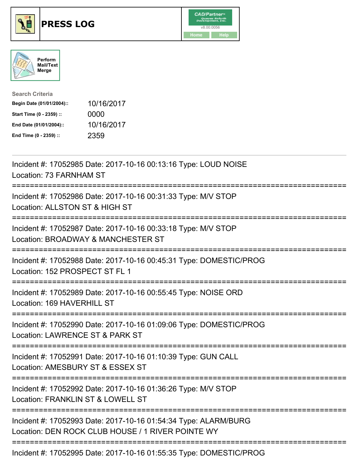





| <b>Search Criteria</b>    |            |
|---------------------------|------------|
| Begin Date (01/01/2004):: | 10/16/2017 |
| Start Time (0 - 2359) ::  | 0000       |
| End Date (01/01/2004)::   | 10/16/2017 |
| End Time (0 - 2359) ::    | 2359       |

| Incident #: 17052985 Date: 2017-10-16 00:13:16 Type: LOUD NOISE<br>Location: 73 FARNHAM ST                                     |
|--------------------------------------------------------------------------------------------------------------------------------|
| Incident #: 17052986 Date: 2017-10-16 00:31:33 Type: M/V STOP<br>Location: ALLSTON ST & HIGH ST                                |
| Incident #: 17052987 Date: 2017-10-16 00:33:18 Type: M/V STOP<br>Location: BROADWAY & MANCHESTER ST                            |
| Incident #: 17052988 Date: 2017-10-16 00:45:31 Type: DOMESTIC/PROG<br>Location: 152 PROSPECT ST FL 1                           |
| Incident #: 17052989 Date: 2017-10-16 00:55:45 Type: NOISE ORD<br>Location: 169 HAVERHILL ST<br>===============                |
| Incident #: 17052990 Date: 2017-10-16 01:09:06 Type: DOMESTIC/PROG<br>Location: LAWRENCE ST & PARK ST                          |
| Incident #: 17052991 Date: 2017-10-16 01:10:39 Type: GUN CALL<br>Location: AMESBURY ST & ESSEX ST<br>========================= |
| Incident #: 17052992 Date: 2017-10-16 01:36:26 Type: M/V STOP<br>Location: FRANKLIN ST & LOWELL ST                             |
| Incident #: 17052993 Date: 2017-10-16 01:54:34 Type: ALARM/BURG<br>Location: DEN ROCK CLUB HOUSE / 1 RIVER POINTE WY           |
| Incident #: 17052995 Date: 2017-10-16 01:55:35 Type: DOMESTIC/PROG                                                             |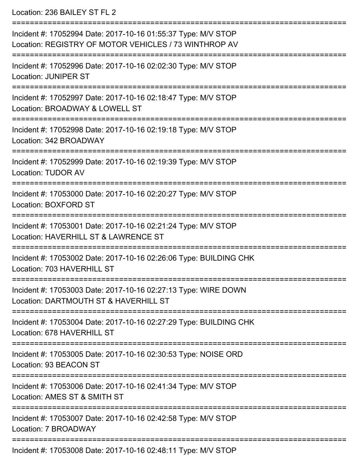Location: 236 BAILEY ST FL 2

| Incident #: 17052994 Date: 2017-10-16 01:55:37 Type: M/V STOP<br>Location: REGISTRY OF MOTOR VEHICLES / 73 WINTHROP AV           |
|----------------------------------------------------------------------------------------------------------------------------------|
| Incident #: 17052996 Date: 2017-10-16 02:02:30 Type: M/V STOP<br><b>Location: JUNIPER ST</b>                                     |
| Incident #: 17052997 Date: 2017-10-16 02:18:47 Type: M/V STOP<br>Location: BROADWAY & LOWELL ST                                  |
| Incident #: 17052998 Date: 2017-10-16 02:19:18 Type: M/V STOP<br>Location: 342 BROADWAY                                          |
| Incident #: 17052999 Date: 2017-10-16 02:19:39 Type: M/V STOP<br><b>Location: TUDOR AV</b>                                       |
| Incident #: 17053000 Date: 2017-10-16 02:20:27 Type: M/V STOP<br>Location: BOXFORD ST                                            |
| Incident #: 17053001 Date: 2017-10-16 02:21:24 Type: M/V STOP<br>Location: HAVERHILL ST & LAWRENCE ST                            |
| Incident #: 17053002 Date: 2017-10-16 02:26:06 Type: BUILDING CHK<br>Location: 703 HAVERHILL ST                                  |
| Incident #: 17053003 Date: 2017-10-16 02:27:13 Type: WIRE DOWN<br>Location: DARTMOUTH ST & HAVERHILL ST                          |
| Incident #: 17053004 Date: 2017-10-16 02:27:29 Type: BUILDING CHK<br>Location: 678 HAVERHILL ST                                  |
| Incident #: 17053005 Date: 2017-10-16 02:30:53 Type: NOISE ORD<br>Location: 93 BEACON ST<br>:=================================== |
| Incident #: 17053006 Date: 2017-10-16 02:41:34 Type: M/V STOP<br>Location: AMES ST & SMITH ST                                    |
| Incident #: 17053007 Date: 2017-10-16 02:42:58 Type: M/V STOP<br>Location: 7 BROADWAY                                            |
| Incident #: 17053008 Date: 2017-10-16 02:48:11 Type: M/V STOP                                                                    |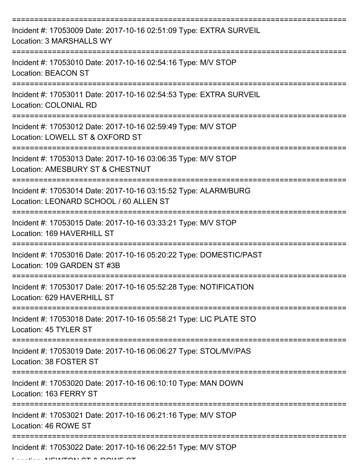| Incident #: 17053009 Date: 2017-10-16 02:51:09 Type: EXTRA SURVEIL<br>Location: 3 MARSHALLS WY            |
|-----------------------------------------------------------------------------------------------------------|
| Incident #: 17053010 Date: 2017-10-16 02:54:16 Type: M/V STOP<br><b>Location: BEACON ST</b>               |
| Incident #: 17053011 Date: 2017-10-16 02:54:53 Type: EXTRA SURVEIL<br><b>Location: COLONIAL RD</b>        |
| Incident #: 17053012 Date: 2017-10-16 02:59:49 Type: M/V STOP<br>Location: LOWELL ST & OXFORD ST          |
| Incident #: 17053013 Date: 2017-10-16 03:06:35 Type: M/V STOP<br>Location: AMESBURY ST & CHESTNUT         |
| Incident #: 17053014 Date: 2017-10-16 03:15:52 Type: ALARM/BURG<br>Location: LEONARD SCHOOL / 60 ALLEN ST |
| Incident #: 17053015 Date: 2017-10-16 03:33:21 Type: M/V STOP<br>Location: 169 HAVERHILL ST               |
| Incident #: 17053016 Date: 2017-10-16 05:20:22 Type: DOMESTIC/PAST<br>Location: 109 GARDEN ST #3B         |
| Incident #: 17053017 Date: 2017-10-16 05:52:28 Type: NOTIFICATION<br>Location: 629 HAVERHILL ST           |
| Incident #: 17053018 Date: 2017-10-16 05:58:21 Type: LIC PLATE STO<br>Location: 45 TYLER ST               |
| Incident #: 17053019 Date: 2017-10-16 06:06:27 Type: STOL/MV/PAS<br>Location: 38 FOSTER ST                |
| Incident #: 17053020 Date: 2017-10-16 06:10:10 Type: MAN DOWN<br>Location: 163 FERRY ST                   |
| Incident #: 17053021 Date: 2017-10-16 06:21:16 Type: M/V STOP<br>Location: 46 ROWE ST                     |
| Incident #: 17053022 Date: 2017-10-16 06:22:51 Type: M/V STOP                                             |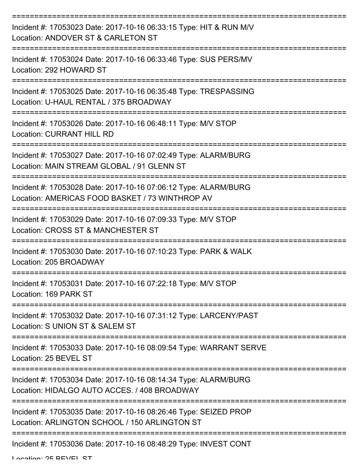| Incident #: 17053023 Date: 2017-10-16 06:33:15 Type: HIT & RUN M/V<br>Location: ANDOVER ST & CARLETON ST           |
|--------------------------------------------------------------------------------------------------------------------|
| Incident #: 17053024 Date: 2017-10-16 06:33:46 Type: SUS PERS/MV<br>Location: 292 HOWARD ST                        |
| Incident #: 17053025 Date: 2017-10-16 06:35:48 Type: TRESPASSING<br>Location: U-HAUL RENTAL / 375 BROADWAY         |
| Incident #: 17053026 Date: 2017-10-16 06:48:11 Type: M/V STOP<br><b>Location: CURRANT HILL RD</b>                  |
| Incident #: 17053027 Date: 2017-10-16 07:02:49 Type: ALARM/BURG<br>Location: MAIN STREAM GLOBAL / 91 GLENN ST      |
| Incident #: 17053028 Date: 2017-10-16 07:06:12 Type: ALARM/BURG<br>Location: AMERICAS FOOD BASKET / 73 WINTHROP AV |
| Incident #: 17053029 Date: 2017-10-16 07:09:33 Type: M/V STOP<br>Location: CROSS ST & MANCHESTER ST                |
| Incident #: 17053030 Date: 2017-10-16 07:10:23 Type: PARK & WALK<br>Location: 205 BROADWAY                         |
| Incident #: 17053031 Date: 2017-10-16 07:22:18 Type: M/V STOP<br>Location: 169 PARK ST                             |
| Incident #: 17053032 Date: 2017-10-16 07:31:12 Type: LARCENY/PAST<br>Location: S UNION ST & SALEM ST               |
| Incident #: 17053033 Date: 2017-10-16 08:09:54 Type: WARRANT SERVE<br>Location: 25 BEVEL ST                        |
| Incident #: 17053034 Date: 2017-10-16 08:14:34 Type: ALARM/BURG<br>Location: HIDALGO AUTO ACCES. / 408 BROADWAY    |
| Incident #: 17053035 Date: 2017-10-16 08:26:46 Type: SEIZED PROP<br>Location: ARLINGTON SCHOOL / 150 ARLINGTON ST  |
| Incident #: 17053036 Date: 2017-10-16 08:48:29 Type: INVEST CONT                                                   |

Location: 25 BEVEL ST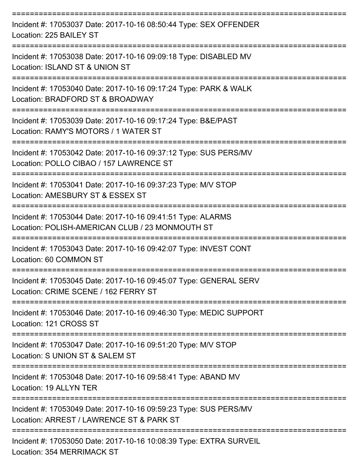| Incident #: 17053037 Date: 2017-10-16 08:50:44 Type: SEX OFFENDER<br>Location: 225 BAILEY ST                   |
|----------------------------------------------------------------------------------------------------------------|
| Incident #: 17053038 Date: 2017-10-16 09:09:18 Type: DISABLED MV<br>Location: ISLAND ST & UNION ST             |
| Incident #: 17053040 Date: 2017-10-16 09:17:24 Type: PARK & WALK<br>Location: BRADFORD ST & BROADWAY           |
| Incident #: 17053039 Date: 2017-10-16 09:17:24 Type: B&E/PAST<br>Location: RAMY'S MOTORS / 1 WATER ST          |
| Incident #: 17053042 Date: 2017-10-16 09:37:12 Type: SUS PERS/MV<br>Location: POLLO CIBAO / 157 LAWRENCE ST    |
| Incident #: 17053041 Date: 2017-10-16 09:37:23 Type: M/V STOP<br>Location: AMESBURY ST & ESSEX ST              |
| Incident #: 17053044 Date: 2017-10-16 09:41:51 Type: ALARMS<br>Location: POLISH-AMERICAN CLUB / 23 MONMOUTH ST |
| Incident #: 17053043 Date: 2017-10-16 09:42:07 Type: INVEST CONT<br>Location: 60 COMMON ST                     |
| Incident #: 17053045 Date: 2017-10-16 09:45:07 Type: GENERAL SERV<br>Location: CRIME SCENE / 162 FERRY ST      |
| Incident #: 17053046 Date: 2017-10-16 09:46:30 Type: MEDIC SUPPORT<br>Location: 121 CROSS ST                   |
| Incident #: 17053047 Date: 2017-10-16 09:51:20 Type: M/V STOP<br>Location: S UNION ST & SALEM ST               |
| Incident #: 17053048 Date: 2017-10-16 09:58:41 Type: ABAND MV<br>Location: 19 ALLYN TER                        |
| Incident #: 17053049 Date: 2017-10-16 09:59:23 Type: SUS PERS/MV<br>Location: ARREST / LAWRENCE ST & PARK ST   |
| Incident #: 17053050 Date: 2017-10-16 10:08:39 Type: EXTRA SURVEIL                                             |

Location: 354 MERRIMACK ST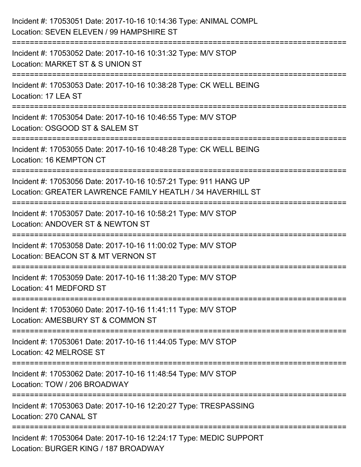| Incident #: 17053051 Date: 2017-10-16 10:14:36 Type: ANIMAL COMPL<br>Location: SEVEN ELEVEN / 99 HAMPSHIRE ST                                                 |
|---------------------------------------------------------------------------------------------------------------------------------------------------------------|
| Incident #: 17053052 Date: 2017-10-16 10:31:32 Type: M/V STOP<br>Location: MARKET ST & S UNION ST                                                             |
| Incident #: 17053053 Date: 2017-10-16 10:38:28 Type: CK WELL BEING<br>Location: 17 LEA ST                                                                     |
| Incident #: 17053054 Date: 2017-10-16 10:46:55 Type: M/V STOP<br>Location: OSGOOD ST & SALEM ST                                                               |
| Incident #: 17053055 Date: 2017-10-16 10:48:28 Type: CK WELL BEING<br>Location: 16 KEMPTON CT<br>:=================================                           |
| Incident #: 17053056 Date: 2017-10-16 10:57:21 Type: 911 HANG UP<br>Location: GREATER LAWRENCE FAMILY HEATLH / 34 HAVERHILL ST<br>:========================== |
| Incident #: 17053057 Date: 2017-10-16 10:58:21 Type: M/V STOP<br>Location: ANDOVER ST & NEWTON ST                                                             |
| Incident #: 17053058 Date: 2017-10-16 11:00:02 Type: M/V STOP<br>Location: BEACON ST & MT VERNON ST                                                           |
| Incident #: 17053059 Date: 2017-10-16 11:38:20 Type: M/V STOP<br>Location: 41 MEDFORD ST                                                                      |
| Incident #: 17053060 Date: 2017-10-16 11:41:11 Type: M/V STOP<br>Location: AMESBURY ST & COMMON ST                                                            |
| Incident #: 17053061 Date: 2017-10-16 11:44:05 Type: M/V STOP<br>Location: 42 MELROSE ST                                                                      |
| Incident #: 17053062 Date: 2017-10-16 11:48:54 Type: M/V STOP<br>Location: TOW / 206 BROADWAY                                                                 |
| Incident #: 17053063 Date: 2017-10-16 12:20:27 Type: TRESPASSING<br>Location: 270 CANAL ST                                                                    |
| Incident #: 17053064 Date: 2017-10-16 12:24:17 Type: MEDIC SUPPORT<br>Location: BURGER KING / 187 BROADWAY                                                    |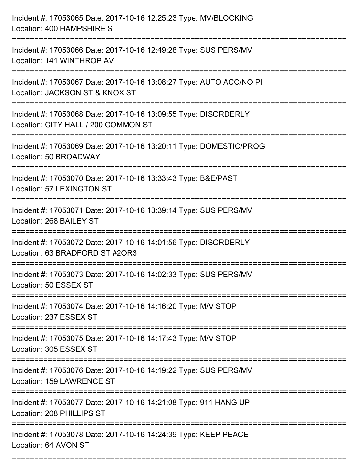| Incident #: 17053065 Date: 2017-10-16 12:25:23 Type: MV/BLOCKING<br>Location: 400 HAMPSHIRE ST                                                |
|-----------------------------------------------------------------------------------------------------------------------------------------------|
| ___________________<br>Incident #: 17053066 Date: 2017-10-16 12:49:28 Type: SUS PERS/MV<br>Location: 141 WINTHROP AV                          |
| Incident #: 17053067 Date: 2017-10-16 13:08:27 Type: AUTO ACC/NO PI<br>Location: JACKSON ST & KNOX ST<br>==================================== |
| Incident #: 17053068 Date: 2017-10-16 13:09:55 Type: DISORDERLY<br>Location: CITY HALL / 200 COMMON ST                                        |
| Incident #: 17053069 Date: 2017-10-16 13:20:11 Type: DOMESTIC/PROG<br>Location: 50 BROADWAY                                                   |
| Incident #: 17053070 Date: 2017-10-16 13:33:43 Type: B&E/PAST<br>Location: 57 LEXINGTON ST                                                    |
| Incident #: 17053071 Date: 2017-10-16 13:39:14 Type: SUS PERS/MV<br>Location: 268 BAILEY ST                                                   |
| Incident #: 17053072 Date: 2017-10-16 14:01:56 Type: DISORDERLY<br>Location: 63 BRADFORD ST #2OR3                                             |
| Incident #: 17053073 Date: 2017-10-16 14:02:33 Type: SUS PERS/MV<br>Location: 50 ESSEX ST                                                     |
| Incident #: 17053074 Date: 2017-10-16 14:16:20 Type: M/V STOP<br>Location: 237 ESSEX ST                                                       |
| Incident #: 17053075 Date: 2017-10-16 14:17:43 Type: M/V STOP<br>Location: 305 ESSEX ST                                                       |
| Incident #: 17053076 Date: 2017-10-16 14:19:22 Type: SUS PERS/MV<br>Location: 159 LAWRENCE ST                                                 |
| Incident #: 17053077 Date: 2017-10-16 14:21:08 Type: 911 HANG UP<br>Location: 208 PHILLIPS ST                                                 |
| Incident #: 17053078 Date: 2017-10-16 14:24:39 Type: KEEP PEACE<br>Location: 64 AVON ST                                                       |

===========================================================================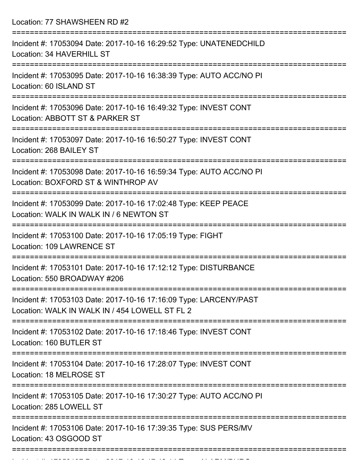Location: 77 SHAWSHEEN RD #2

| Incident #: 17053094 Date: 2017-10-16 16:29:52 Type: UNATENEDCHILD<br>Location: 34 HAVERHILL ST                     |
|---------------------------------------------------------------------------------------------------------------------|
| Incident #: 17053095 Date: 2017-10-16 16:38:39 Type: AUTO ACC/NO PI<br>Location: 60 ISLAND ST                       |
| Incident #: 17053096 Date: 2017-10-16 16:49:32 Type: INVEST CONT<br>Location: ABBOTT ST & PARKER ST                 |
| Incident #: 17053097 Date: 2017-10-16 16:50:27 Type: INVEST CONT<br>Location: 268 BAILEY ST                         |
| Incident #: 17053098 Date: 2017-10-16 16:59:34 Type: AUTO ACC/NO PI<br>Location: BOXFORD ST & WINTHROP AV           |
| Incident #: 17053099 Date: 2017-10-16 17:02:48 Type: KEEP PEACE<br>Location: WALK IN WALK IN / 6 NEWTON ST          |
| Incident #: 17053100 Date: 2017-10-16 17:05:19 Type: FIGHT<br>Location: 109 LAWRENCE ST                             |
| Incident #: 17053101 Date: 2017-10-16 17:12:12 Type: DISTURBANCE<br>Location: 550 BROADWAY #206                     |
| Incident #: 17053103 Date: 2017-10-16 17:16:09 Type: LARCENY/PAST<br>Location: WALK IN WALK IN / 454 LOWELL ST FL 2 |
| Incident #: 17053102 Date: 2017-10-16 17:18:46 Type: INVEST CONT<br>Location: 160 BUTLER ST                         |
| Incident #: 17053104 Date: 2017-10-16 17:28:07 Type: INVEST CONT<br>Location: 18 MELROSE ST                         |
| Incident #: 17053105 Date: 2017-10-16 17:30:27 Type: AUTO ACC/NO PI<br>Location: 285 LOWELL ST                      |
| Incident #: 17053106 Date: 2017-10-16 17:39:35 Type: SUS PERS/MV<br>Location: 43 OSGOOD ST                          |
|                                                                                                                     |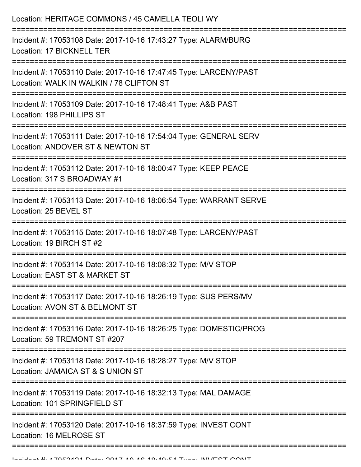| Location: HERITAGE COMMONS / 45 CAMELLA TEOLI WY                                                              |
|---------------------------------------------------------------------------------------------------------------|
| Incident #: 17053108 Date: 2017-10-16 17:43:27 Type: ALARM/BURG<br>Location: 17 BICKNELL TER                  |
| Incident #: 17053110 Date: 2017-10-16 17:47:45 Type: LARCENY/PAST<br>Location: WALK IN WALKIN / 78 CLIFTON ST |
| Incident #: 17053109 Date: 2017-10-16 17:48:41 Type: A&B PAST<br>Location: 198 PHILLIPS ST                    |
| Incident #: 17053111 Date: 2017-10-16 17:54:04 Type: GENERAL SERV<br>Location: ANDOVER ST & NEWTON ST         |
| Incident #: 17053112 Date: 2017-10-16 18:00:47 Type: KEEP PEACE<br>Location: 317 S BROADWAY #1                |
| Incident #: 17053113 Date: 2017-10-16 18:06:54 Type: WARRANT SERVE<br>Location: 25 BEVEL ST                   |
| Incident #: 17053115 Date: 2017-10-16 18:07:48 Type: LARCENY/PAST<br>Location: 19 BIRCH ST #2                 |
| Incident #: 17053114 Date: 2017-10-16 18:08:32 Type: M/V STOP<br>Location: EAST ST & MARKET ST                |
| Incident #: 17053117 Date: 2017-10-16 18:26:19 Type: SUS PERS/MV<br>Location: AVON ST & BELMONT ST            |
| Incident #: 17053116 Date: 2017-10-16 18:26:25 Type: DOMESTIC/PROG<br>Location: 59 TREMONT ST #207            |
| Incident #: 17053118 Date: 2017-10-16 18:28:27 Type: M/V STOP<br>Location: JAMAICA ST & S UNION ST            |
| Incident #: 17053119 Date: 2017-10-16 18:32:13 Type: MAL DAMAGE<br>Location: 101 SPRINGFIELD ST               |
| Incident #: 17053120 Date: 2017-10-16 18:37:59 Type: INVEST CONT<br>Location: 16 MELROSE ST                   |
|                                                                                                               |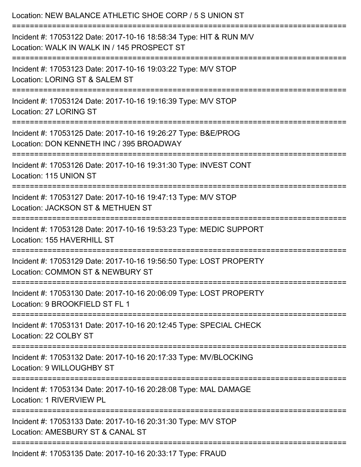| Location: NEW BALANCE ATHLETIC SHOE CORP / 5 S UNION ST                                                           |
|-------------------------------------------------------------------------------------------------------------------|
| Incident #: 17053122 Date: 2017-10-16 18:58:34 Type: HIT & RUN M/V<br>Location: WALK IN WALK IN / 145 PROSPECT ST |
| Incident #: 17053123 Date: 2017-10-16 19:03:22 Type: M/V STOP<br>Location: LORING ST & SALEM ST                   |
| Incident #: 17053124 Date: 2017-10-16 19:16:39 Type: M/V STOP<br>Location: 27 LORING ST                           |
| Incident #: 17053125 Date: 2017-10-16 19:26:27 Type: B&E/PROG<br>Location: DON KENNETH INC / 395 BROADWAY         |
| Incident #: 17053126 Date: 2017-10-16 19:31:30 Type: INVEST CONT<br>Location: 115 UNION ST                        |
| Incident #: 17053127 Date: 2017-10-16 19:47:13 Type: M/V STOP<br>Location: JACKSON ST & METHUEN ST                |
| Incident #: 17053128 Date: 2017-10-16 19:53:23 Type: MEDIC SUPPORT<br>Location: 155 HAVERHILL ST                  |
| Incident #: 17053129 Date: 2017-10-16 19:56:50 Type: LOST PROPERTY<br>Location: COMMON ST & NEWBURY ST            |
| Incident #: 17053130 Date: 2017-10-16 20:06:09 Type: LOST PROPERTY<br>Location: 9 BROOKFIELD ST FL 1              |
| Incident #: 17053131 Date: 2017-10-16 20:12:45 Type: SPECIAL CHECK<br>Location: 22 COLBY ST                       |
| Incident #: 17053132 Date: 2017-10-16 20:17:33 Type: MV/BLOCKING<br>Location: 9 WILLOUGHBY ST                     |
| Incident #: 17053134 Date: 2017-10-16 20:28:08 Type: MAL DAMAGE<br>Location: 1 RIVERVIEW PL                       |
| Incident #: 17053133 Date: 2017-10-16 20:31:30 Type: M/V STOP<br>Location: AMESBURY ST & CANAL ST                 |
| Incident #: 17053135 Date: 2017-10-16 20:33:17 Type: FRAUD                                                        |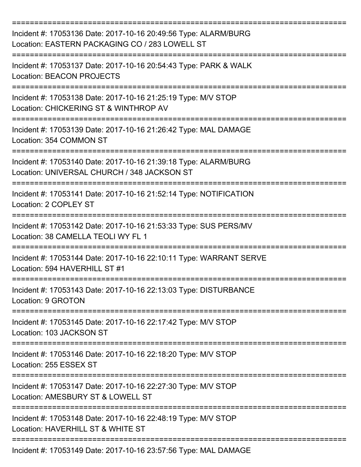| Incident #: 17053136 Date: 2017-10-16 20:49:56 Type: ALARM/BURG<br>Location: EASTERN PACKAGING CO / 283 LOWELL ST |
|-------------------------------------------------------------------------------------------------------------------|
| Incident #: 17053137 Date: 2017-10-16 20:54:43 Type: PARK & WALK<br><b>Location: BEACON PROJECTS</b>              |
| Incident #: 17053138 Date: 2017-10-16 21:25:19 Type: M/V STOP<br>Location: CHICKERING ST & WINTHROP AV            |
| Incident #: 17053139 Date: 2017-10-16 21:26:42 Type: MAL DAMAGE<br>Location: 354 COMMON ST                        |
| Incident #: 17053140 Date: 2017-10-16 21:39:18 Type: ALARM/BURG<br>Location: UNIVERSAL CHURCH / 348 JACKSON ST    |
| Incident #: 17053141 Date: 2017-10-16 21:52:14 Type: NOTIFICATION<br>Location: 2 COPLEY ST                        |
| Incident #: 17053142 Date: 2017-10-16 21:53:33 Type: SUS PERS/MV<br>Location: 38 CAMELLA TEOLI WY FL 1            |
| Incident #: 17053144 Date: 2017-10-16 22:10:11 Type: WARRANT SERVE<br>Location: 594 HAVERHILL ST #1               |
| Incident #: 17053143 Date: 2017-10-16 22:13:03 Type: DISTURBANCE<br>Location: 9 GROTON                            |
| =======<br>Incident #: 17053145 Date: 2017-10-16 22:17:42 Type: M/V STOP<br>Location: 103 JACKSON ST              |
| Incident #: 17053146 Date: 2017-10-16 22:18:20 Type: M/V STOP<br>Location: 255 ESSEX ST                           |
| Incident #: 17053147 Date: 2017-10-16 22:27:30 Type: M/V STOP<br>Location: AMESBURY ST & LOWELL ST                |
| Incident #: 17053148 Date: 2017-10-16 22:48:19 Type: M/V STOP<br>Location: HAVERHILL ST & WHITE ST                |
| Incident #: 17053149 Date: 2017-10-16 23:57:56 Type: MAL DAMAGE                                                   |